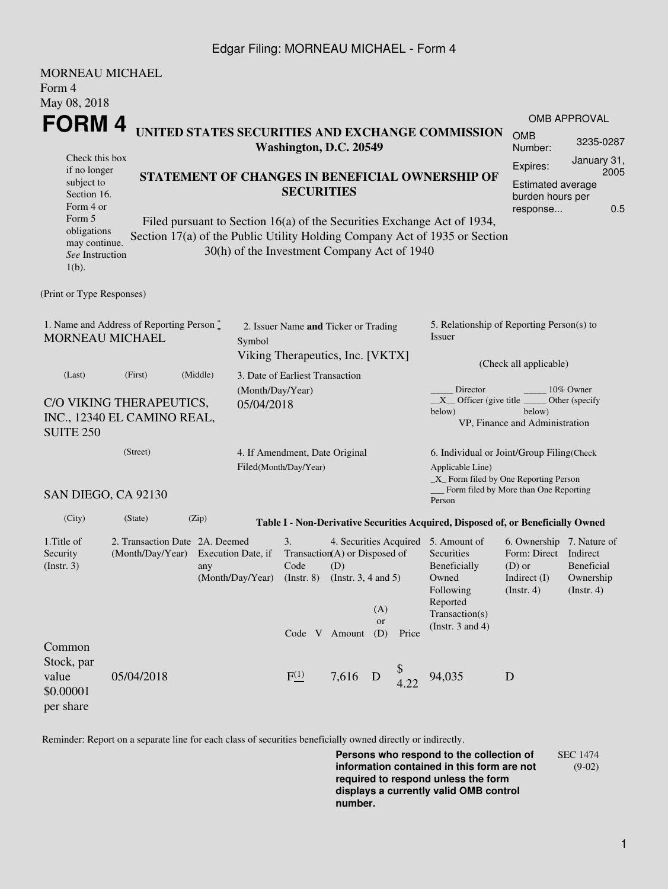## Edgar Filing: MORNEAU MICHAEL - Form 4

| MORNEAU MICHAEL                                                                                                                                                                                                                                                               |                                                                            |                                                                                                                                              |                                                                                                    |                                 |         |                  |                                                                                         |                                                                                                                                                    |                                                           |                             |  |  |
|-------------------------------------------------------------------------------------------------------------------------------------------------------------------------------------------------------------------------------------------------------------------------------|----------------------------------------------------------------------------|----------------------------------------------------------------------------------------------------------------------------------------------|----------------------------------------------------------------------------------------------------|---------------------------------|---------|------------------|-----------------------------------------------------------------------------------------|----------------------------------------------------------------------------------------------------------------------------------------------------|-----------------------------------------------------------|-----------------------------|--|--|
| Form 4                                                                                                                                                                                                                                                                        |                                                                            |                                                                                                                                              |                                                                                                    |                                 |         |                  |                                                                                         |                                                                                                                                                    |                                                           |                             |  |  |
| May 08, 2018                                                                                                                                                                                                                                                                  |                                                                            |                                                                                                                                              |                                                                                                    |                                 |         |                  |                                                                                         |                                                                                                                                                    |                                                           |                             |  |  |
| FORM 4                                                                                                                                                                                                                                                                        |                                                                            |                                                                                                                                              |                                                                                                    |                                 |         |                  | <b>OMB APPROVAL</b>                                                                     |                                                                                                                                                    |                                                           |                             |  |  |
|                                                                                                                                                                                                                                                                               | UNITED STATES SECURITIES AND EXCHANGE COMMISSION<br>Washington, D.C. 20549 |                                                                                                                                              |                                                                                                    |                                 |         |                  |                                                                                         |                                                                                                                                                    | <b>OMB</b><br>Number:                                     | 3235-0287                   |  |  |
| Check this box<br>if no longer<br>subject to<br>Section 16.<br>Form 4 or                                                                                                                                                                                                      | STATEMENT OF CHANGES IN BENEFICIAL OWNERSHIP OF                            | <b>SECURITIES</b>                                                                                                                            | January 31,<br>Expires:<br>2005<br><b>Estimated average</b><br>burden hours per<br>0.5<br>response |                                 |         |                  |                                                                                         |                                                                                                                                                    |                                                           |                             |  |  |
| Form 5<br>Filed pursuant to Section 16(a) of the Securities Exchange Act of 1934,<br>obligations<br>Section 17(a) of the Public Utility Holding Company Act of 1935 or Section<br>may continue.<br>30(h) of the Investment Company Act of 1940<br>See Instruction<br>$1(b)$ . |                                                                            |                                                                                                                                              |                                                                                                    |                                 |         |                  |                                                                                         |                                                                                                                                                    |                                                           |                             |  |  |
| (Print or Type Responses)                                                                                                                                                                                                                                                     |                                                                            |                                                                                                                                              |                                                                                                    |                                 |         |                  |                                                                                         |                                                                                                                                                    |                                                           |                             |  |  |
| 1. Name and Address of Reporting Person $\stackrel{*}{\mathbb{L}}$<br><b>MORNEAU MICHAEL</b>                                                                                                                                                                                  |                                                                            |                                                                                                                                              | 2. Issuer Name and Ticker or Trading<br>Symbol<br>Viking Therapeutics, Inc. [VKTX]                 |                                 |         |                  |                                                                                         | 5. Relationship of Reporting Person(s) to<br>Issuer                                                                                                |                                                           |                             |  |  |
| (Last)                                                                                                                                                                                                                                                                        | (First)                                                                    | (Middle)                                                                                                                                     |                                                                                                    | 3. Date of Earliest Transaction |         |                  |                                                                                         | (Check all applicable)                                                                                                                             |                                                           |                             |  |  |
| <b>SUITE 250</b>                                                                                                                                                                                                                                                              | C/O VIKING THERAPEUTICS,<br>INC., 12340 EL CAMINO REAL,                    |                                                                                                                                              | (Month/Day/Year)<br>05/04/2018                                                                     |                                 |         |                  |                                                                                         | Director<br>$X$ Officer (give title<br>below)                                                                                                      | below)<br>VP, Finance and Administration                  | 10% Owner<br>Other (specify |  |  |
|                                                                                                                                                                                                                                                                               | (Street)                                                                   |                                                                                                                                              | 4. If Amendment, Date Original<br>Filed(Month/Day/Year)                                            |                                 |         |                  |                                                                                         | 6. Individual or Joint/Group Filing(Check<br>Applicable Line)<br>$\_X$ Form filed by One Reporting Person<br>Form filed by More than One Reporting |                                                           |                             |  |  |
|                                                                                                                                                                                                                                                                               | SAN DIEGO, CA 92130                                                        |                                                                                                                                              |                                                                                                    |                                 |         |                  |                                                                                         | Person                                                                                                                                             |                                                           |                             |  |  |
| (City)                                                                                                                                                                                                                                                                        | (State)                                                                    | (Zip)                                                                                                                                        |                                                                                                    |                                 |         |                  |                                                                                         | Table I - Non-Derivative Securities Acquired, Disposed of, or Beneficially Owned                                                                   |                                                           |                             |  |  |
| 1. Title of<br>Security<br>$($ Instr. 3 $)$                                                                                                                                                                                                                                   | 2. Transaction Date 2A. Deemed<br>(Month/Day/Year)                         | 3.<br>Transaction(A) or Disposed of<br>Execution Date, if<br>Code<br>(D)<br>(Month/Day/Year)<br>$($ Instr. 8 $)$<br>(Instr. $3, 4$ and $5$ ) |                                                                                                    |                                 |         |                  | 4. Securities Acquired 5. Amount of<br>Securities<br>Beneficially<br>Owned<br>Following | 6. Ownership 7. Nature of<br>Form: Direct<br>$(D)$ or<br>Indirect $(I)$<br>$($ Instr. 4 $)$                                                        | Indirect<br><b>Beneficial</b><br>Ownership<br>(Insert. 4) |                             |  |  |
| Common                                                                                                                                                                                                                                                                        |                                                                            |                                                                                                                                              |                                                                                                    | Code V Amount                   |         | (A)<br>or<br>(D) | Price                                                                                   | Reported<br>Transaction(s)<br>(Instr. $3$ and $4$ )                                                                                                |                                                           |                             |  |  |
| Stock, par<br>value<br>\$0.00001<br>per share                                                                                                                                                                                                                                 | 05/04/2018                                                                 |                                                                                                                                              |                                                                                                    | F(1)                            | 7,616 D |                  | $$$<br>4.22                                                                             | 94,035                                                                                                                                             | D                                                         |                             |  |  |

Reminder: Report on a separate line for each class of securities beneficially owned directly or indirectly.

**Persons who respond to the collection of information contained in this form are not required to respond unless the form displays a currently valid OMB control number.** SEC 1474 (9-02)